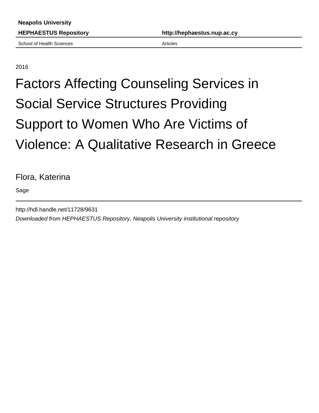School of Health Sciences **Articles** Articles

## 2016

## Factors Affecting Counseling Services in Social Service Structures Providing Support to Women Who Are Victims of Violence: A Qualitative Research in Greece

## Flora, Katerina

Sage

http://hdl.handle.net/11728/9631 Downloaded from HEPHAESTUS Repository, Neapolis University institutional repository